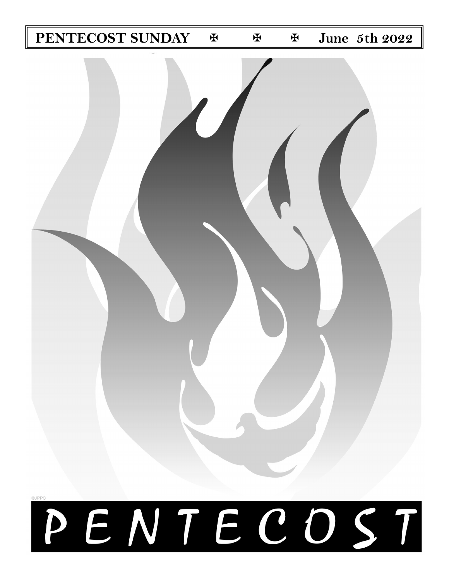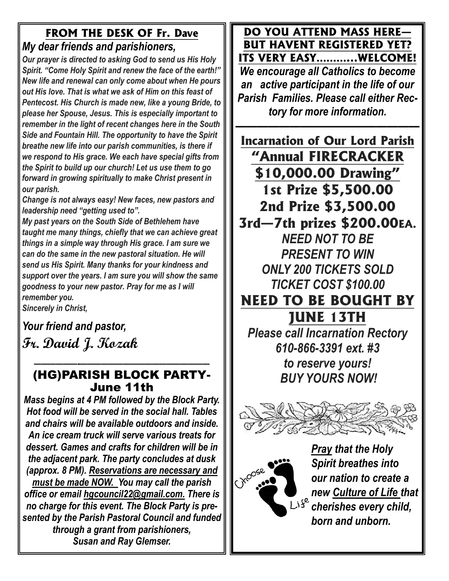# **FROM THE DESK OF Fr. Dave** *My dear friends and parishioners,*

*Our prayer is directed to asking God to send us His Holy Spirit. "Come Holy Spirit and renew the face of the earth!" New life and renewal can only come about when He pours out His love. That is what we ask of Him on this feast of Pentecost. His Church is made new, like a young Bride, to please her Spouse, Jesus. This is especially important to remember in the light of recent changes here in the South Side and Fountain Hill. The opportunity to have the Spirit breathe new life into our parish communities, is there if we respond to His grace. We each have special gifts from the Spirit to build up our church! Let us use them to go forward in growing spiritually to make Christ present in our parish.*

*Change is not always easy! New faces, new pastors and leadership need "getting used to".*

*My past years on the South Side of Bethlehem have taught me many things, chiefly that we can achieve great things in a simple way through His grace. I am sure we can do the same in the new pastoral situation. He will send us His Spirit. Many thanks for your kindness and support over the years. I am sure you will show the same goodness to your new pastor. Pray for me as I will remember you.*

*Sincerely in Christ,*

*Your friend and pastor,*  **Fr. David J. Kozak**

### *——————-——————————————————* **(HG)PARISH BLOCK PARTY-June 11th**

*Mass begins at 4 PM followed by the Block Party. Hot food will be served in the social hall. Tables and chairs will be available outdoors and inside. An ice cream truck will serve various treats for dessert. Games and crafts for children will be in the adjacent park. The party concludes at dusk (approx. 8 PM). Reservations are necessary and must be made NOW. You may call the parish office or email [hgcouncil22@gmail.com.](mailto:hgcouncil22@gmail.com) There is no charge for this event. The Block Party is presented by the Parish Pastoral Council and funded through a grant from parishioners, Susan and Ray Glemser.*

### **DO YOU ATTEND MASS HERE— BUT HAVENT REGISTERED YET? ITS VERY EASY………...WELCOME!**

*We encourage all Catholics to become an active participant in the life of our Parish Families. Please call either Rectory for more information.*

*—————————————————* 

**Incarnation of Our Lord Parish "Annual FIRECRACKER \$10,000.00 Drawing" 1st Prize \$5,500.00 2nd Prize \$3,500.00 3rd—7th prizes \$200.00EA.**  *NEED NOT TO BE PRESENT TO WIN ONLY 200 TICKETS SOLD TICKET COST \$100.00* **NEED TO BE BOUGHT BY JUNE 13TH**  *Please call Incarnation Rectory 610-866-3391 ext. #3 to reserve yours! BUY YOURS NOW!* 



*Pray that the Holy Spirit breathes into our nation to create a new <u>Culture of Life t</u>hat*<br>Di<sup>se</sup> cherishes event of the *cherishes every child, born and unborn.*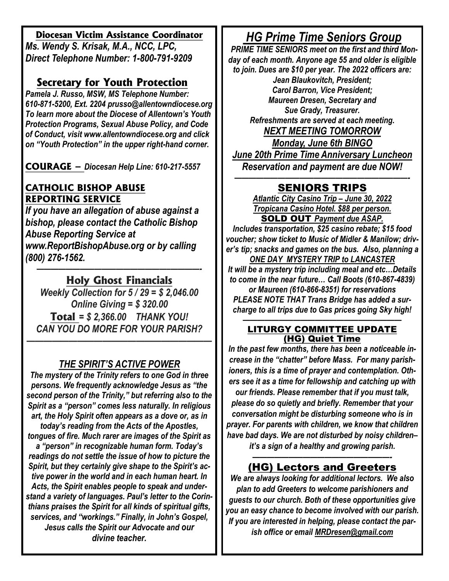### **Diocesan Victim Assistance Coordinator**

*Ms. Wendy S. Krisak, M.A., NCC, LPC, Direct Telephone Number: 1-800-791-9209* 

# **Secretary for Youth Protection**

*Pamela J. Russo, MSW, MS Telephone Number: 610-871-5200, Ext. 2204 prusso@allentowndiocese.org To learn more about the Diocese of Allentown's Youth Protection Programs, Sexual Abuse Policy, and Code of Conduct, visit www.allentowndiocese.org and click on "Youth Protection" in the upper right-hand corner.* 

**COURAGE –** *Diocesan Help Line: 610-217-5557* 

### **CATHOLIC BISHOP ABUSE REPORTING SERVICE**

*If you have an allegation of abuse against a bishop, please contact the Catholic Bishop Abuse Reporting Service at www.ReportBishopAbuse.org or by calling (800) 276-1562.*

### *——————————————————–————-* **Holy Ghost Financials**

*Weekly Collection for 5 / 29 = \$ 2,046.00 Online Giving = \$ 320.00*  **Total** *= \$ 2,366.00 THANK YOU! CAN YOU DO MORE FOR YOUR PARISH?*

# *THE SPIRIT'S ACTIVE POWER*

*——————————————————————*

*The mystery of the Trinity refers to one God in three persons. We frequently acknowledge Jesus as "the second person of the Trinity," but referring also to the Spirit as a "person" comes less naturally. In religious art, the Holy Spirit often appears as a dove or, as in today's reading from the Acts of the Apostles, tongues of fire. Much rarer are images of the Spirit as a "person" in recognizable human form. Today's readings do not settle the issue of how to picture the Spirit, but they certainly give shape to the Spirit's active power in the world and in each human heart. In Acts, the Spirit enables people to speak and understand a variety of languages. Paul's letter to the Corinthians praises the Spirit for all kinds of spiritual gifts, services, and "workings." Finally, in John's Gospel, Jesus calls the Spirit our Advocate and our divine teacher.* 

# *HG Prime Time Seniors Group*

 *PRIME TIME SENIORS meet on the first and third Monday of each month. Anyone age 55 and older is eligible to join. Dues are \$10 per year. The 2022 officers are:* 

*Jean Blaukovitch, President; Carol Barron, Vice President; Maureen Dresen, Secretary and Sue Grady, Treasurer. Refreshments are served at each meeting. NEXT MEETING TOMORROW Monday, June 6th BINGO June 20th Prime Time Anniversary Luncheon Reservation and payment are due NOW!*

### *————————————————————————-* **SENIORS TRIPS**

*Atlantic City Casino Trip – June 30, 2022 Tropicana Casino Hotel. \$88 per person.*  **SOLD OUT** *Payment due ASAP. Includes transportation, \$25 casino rebate; \$15 food voucher; show ticket to Music of Midler & Manilow; driver's tip; snacks and games on the bus. Also, planning a ONE DAY MYSTERY TRIP to LANCASTER It will be a mystery trip including meal and etc…Details to come in the near future… Call Boots (610-867-4839) or Maureen (610-866-8351) for reservations PLEASE NOTE THAT Trans Bridge has added a surcharge to all trips due to Gas prices going Sky high!*

#### *——————————————————————* **LITURGY COMMITTEE UPDATE (HG) Quiet Time**

*In the past few months, there has been a noticeable increase in the "chatter" before Mass. For many parishioners, this is a time of prayer and contemplation. Others see it as a time for fellowship and catching up with our friends. Please remember that if you must talk, please do so quietly and briefly. Remember that your conversation might be disturbing someone who is in prayer. For parents with children, we know that children have bad days. We are not disturbed by noisy children– it's a sign of a healthy and growing parish.* 

### *———————————————————-*  **(HG) Lectors and Greeters**

*We are always looking for additional lectors. We also plan to add Greeters to welcome parishioners and guests to our church. Both of these opportunities give you an easy chance to become involved with our parish. If you are interested in helping, please contact the parish office or email [MRDresen@gmail.com](mailto:MRDresen@gmail.com)*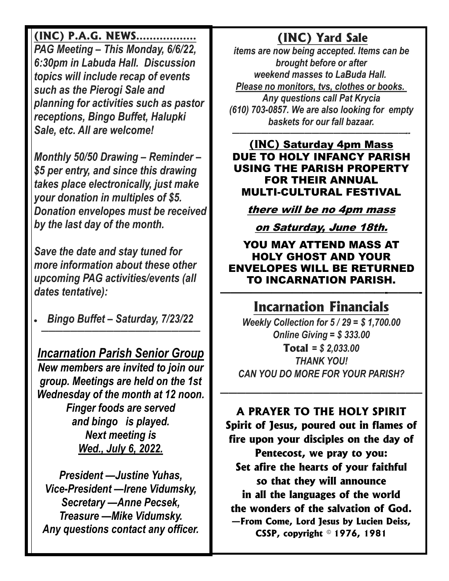# **(INC) P.A.G. NEWS………………**

*PAG Meeting – This Monday, 6/6/22, 6:30pm in Labuda Hall. Discussion topics will include recap of events such as the Pierogi Sale and planning for activities such as pastor receptions, Bingo Buffet, Halupki Sale, etc. All are welcome!*

*Monthly 50/50 Drawing – Reminder – \$5 per entry, and since this drawing takes place electronically, just make your donation in multiples of \$5. Donation envelopes must be received by the last day of the month.* 

*Save the date and stay tuned for more information about these other upcoming PAG activities/events (all dates tentative):*

*Bingo Buffet – Saturday, 7/23/22*

*——————————————————————*

*Incarnation Parish Senior Group New members are invited to join our group. Meetings are held on the 1st Wednesday of the month at 12 noon. Finger foods are served and bingo is played. Next meeting is Wed., July 6, 2022.* 

*President —Justine Yuhas, Vice-President —Irene Vidumsky, Secretary —Anne Pecsek, Treasure —Mike Vidumsky. Any questions contact any officer.* 

# **(INC) Yard Sale**

*items are now being accepted. Items can be brought before or after weekend masses to LaBuda Hall. Please no monitors, tvs, clothes or books. Any questions call Pat Krycia (610) 703-0857. We are also looking for empty baskets for our fall bazaar. ————————————————————————--* 

### **(INC) Saturday 4pm Mass DUE TO HOLY INFANCY PARISH USING THE PARISH PROPERTY FOR THEIR ANNUAL MULTI-CULTURAL FESTIVAL**

### **there will be no 4pm mass**

# **on Saturday, June 18th.**

### **YOU MAY ATTEND MASS AT HOLY GHOST AND YOUR ENVELOPES WILL BE RETURNED TO INCARNATION PARISH. ————————————————-———-**

# **Incarnation Financials**

*Weekly Collection for 5 / 29 = \$ 1,700.00 Online Giving = \$ 333.00*  **Total** *= \$ 2,033.00 THANK YOU! CAN YOU DO MORE FOR YOUR PARISH?*

# **A PRAYER TO THE HOLY SPIRIT**

*————————————————————————*

**Spirit of Jesus, poured out in flames of fire upon your disciples on the day of Pentecost, we pray to you: Set afire the hearts of your faithful so that they will announce in all the languages of the world the wonders of the salvation of God. —From Come, Lord Jesus by Lucien Deiss, CSSP, copyright © 1976, 1981**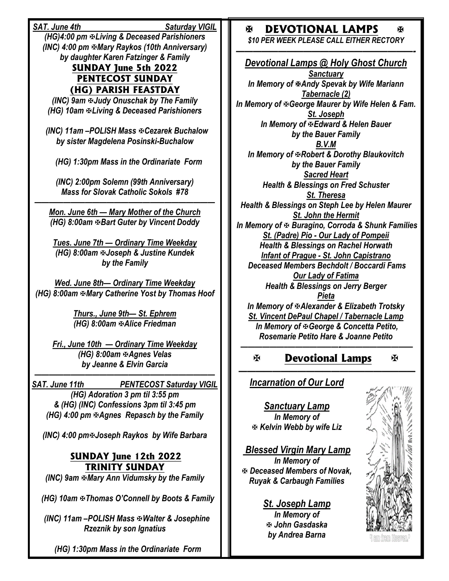**SAT.** June 4th Saturday VIGIL

*(HG)4:00 pm Living & Deceased Parishioners (INC) 4:00 pm Mary Raykos (10th Anniversary) by daughter Karen Fatzinger & Family* 

#### **SUNDAY June 5th 2022 PENTECOST SUNDAY (HG) PARISH FEASTDAY**

*(INC) 9am Judy Onuschak by The Family (HG) 10am Living & Deceased Parishioners* 

 *(INC) 11am –POLISH Mass Cezarek Buchalow by sister Magdelena Posinski-Buchalow* 

 *(HG) 1:30pm Mass in the Ordinariate Form*

*(INC) 2:00pm Solemn (99th Anniversary) Mass for Slovak Catholic Sokols #78* 

*————————————————————————— Mon. June 6th — Mary Mother of the Church (HG) 8:00am EBart Guter by Vincent Doddy* 

*Tues. June 7th — Ordinary Time Weekday (HG) 8:00am Joseph & Justine Kundek by the Family* 

*Wed. June 8th— Ordinary Time Weekday (HG) 8:00am*  $M$ *Mary Catherine Yost by Thomas Hoof* 

> *Thurs., June 9th— St. Ephrem (HG) 8:00am Alice Friedman*

*Fri., June 10th — Ordinary Time Weekday (HG) 8:00am*  $\Phi$ *Agnes Velas by Jeanne & Elvin Garcia* 

*————————————————————————— SAT. June 11th PENTECOST Saturday VIGIL* 

*(HG) Adoration 3 pm til 3:55 pm & (HG) (INC) Confessions 3pm til 3:45 pm (HG) 4:00 pm Agnes Repasch by the Family* 

*(INC) 4:00 pm Joseph Raykos by Wife Barbara* 

### **SUNDAY June 12th 2022 TRINITY SUNDAY**

*(INC) 9am Mary Ann Vidumsky by the Family*

 *(HG) 10am Thomas O'Connell by Boots & Family* 

 *(INC) 11am –POLISH Mass Walter & Josephine Rzeznik by son Ignatius*

 *(HG) 1:30pm Mass in the Ordinariate Form* 

### **EXAMPLE DEVOTIONAL LAMPS**

*\$10 PER WEEK PLEASE CALL EITHER RECTORY —————————————————————-*

ж

*Devotional Lamps @ Holy Ghost Church Sanctuary*  **In Memory of**  $A$ **ndy Spevak by Wife Mariann** *Tabernacle (2) In Memory of George Maurer by Wife Helen & Fam. St. Joseph In Memory of Edward & Helen Bauer by the Bauer Family B.V.M In Memory of Robert & Dorothy Blaukovitch by the Bauer Family Sacred Heart Health & Blessings on Fred Schuster St. Theresa Health & Blessings on Steph Lee by Helen Maurer St. John the Hermit In Memory of*  $\Phi$  *Buragino, Corroda & Shunk Families St. (Padre) Pio - Our Lady of Pompeii Health & Blessings on Rachel Horwath Infant of Prague - St. John Capistrano Deceased Members Bechdolt / Boccardi Fams Our Lady of Fatima Health & Blessings on Jerry Berger Pieta In Memory of Alexander & Elizabeth Trotsky St. Vincent DePaul Chapel / Tabernacle Lamp In Memory of George & Concetta Petito, Rosemarie Petito Hare & Joanne Petito*

#### *——————–———————-——————————*  $\mathbf{H}$ **Devotional Lamps**   $\mathbb H$

*Incarnation of Our Lord* 

*Sanctuary Lamp In Memory of Kelvin Webb by wife Liz* 

*Blessed Virgin Mary Lamp In Memory of Deceased Members of Novak, Ruyak & Carbaugh Families* 

> *St. Joseph Lamp In Memory of John Gasdaska by Andrea Barna*